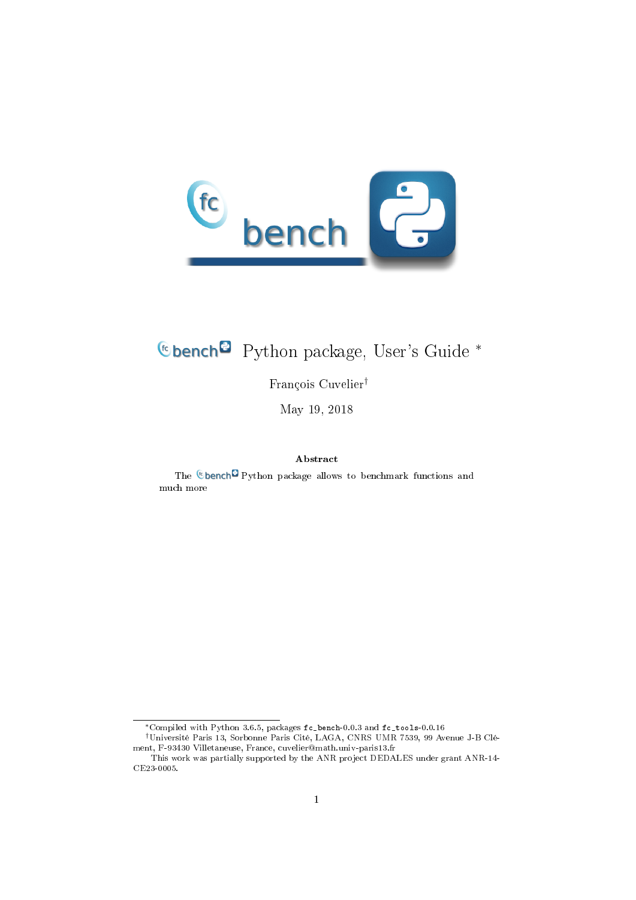

# Python package, User's Guide <sup>∗</sup>

François Cuvelier†

May 19, 2018

#### Abstract

The  $@$  bench $@$  Python package allows to benchmark functions and much more

<sup>∗</sup>Compiled with Python 3.6.5, packages fc\_bench-0.0.3 and fc\_tools-0.0.16

<sup>†</sup>Université Paris 13, Sorbonne Paris Cité, LAGA, CNRS UMR 7539, 99 Avenue J-B Clément, F-93430 Villetaneuse, France, cuvelier@math.univ-paris13.fr

This work was partially supported by the ANR project DEDALES under grant ANR-14- CE23-0005.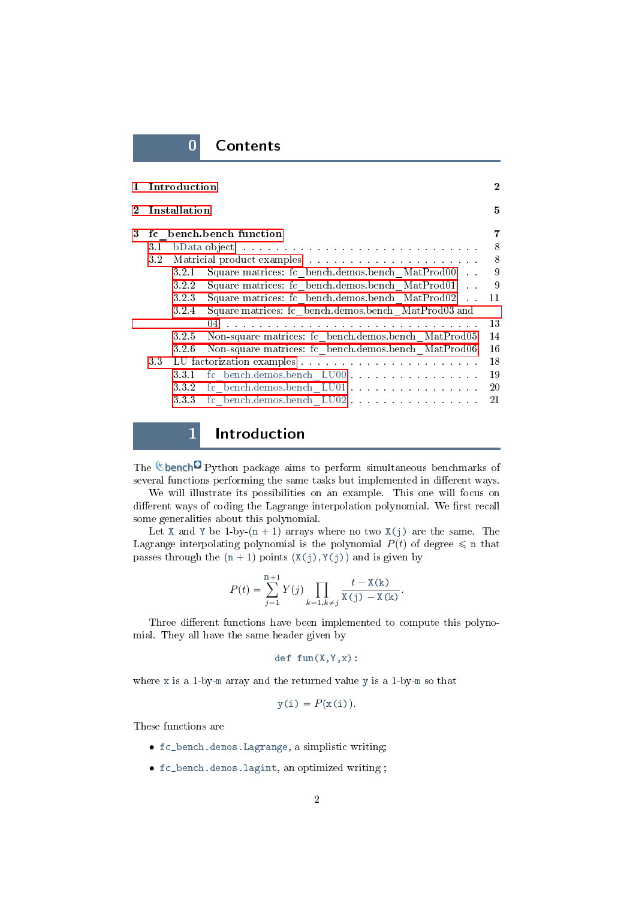### 0 Contents

| $\mathbf{1}$   |     | Introduction |                                                                                                                                                                                                                                | $\bf{2}$ |
|----------------|-----|--------------|--------------------------------------------------------------------------------------------------------------------------------------------------------------------------------------------------------------------------------|----------|
| $\mathbf{2}^-$ |     | Installation |                                                                                                                                                                                                                                | 5        |
| 3              |     |              | fc bench.bench function                                                                                                                                                                                                        |          |
|                | 3.1 |              | bData object residence in the contract of the contract of the books of the contract of the contract of the contract of the contract of the contract of the contract of the contract of the contract of the contract of the con | 8        |
|                | 32  |              |                                                                                                                                                                                                                                | 8        |
|                |     | 321          | Square matrices: fc bench.demos.bench MatProd00.                                                                                                                                                                               | 9        |
|                |     | 322          | Square matrices: fc bench.demos.bench MatProd01<br>$\sim 10$                                                                                                                                                                   | 9        |
|                |     | 323          | Square matrices: fc bench.demos.bench MatProd02.                                                                                                                                                                               | 11       |
|                |     | 3.2.4        | Square matrices: fc bench.demos.bench MatProd03 and                                                                                                                                                                            |          |
|                |     |              |                                                                                                                                                                                                                                | 13       |
|                |     | 325          | Non-square matrices: fc bench.demos.bench MatProd05                                                                                                                                                                            | 14       |
|                |     | 3.2.6        | Non-square matrices: fc bench.demos.bench MatProd06                                                                                                                                                                            | 16       |
|                | 33  |              |                                                                                                                                                                                                                                | 18       |
|                |     | 3.3.1        | fc bench.demos.bench LU00                                                                                                                                                                                                      | 19       |
|                |     | 332          | fc bench.demos.bench LU01                                                                                                                                                                                                      | 20       |
|                |     | 333          | fc bench.demos.bench LU02                                                                                                                                                                                                      | 21       |
|                |     |              |                                                                                                                                                                                                                                |          |

### 1 Introduction

<span id="page-1-0"></span>The **C**bench<sup>c</sup> Python package aims to perform simultaneous benchmarks of several functions performing the same tasks but implemented in different ways.

We will illustrate its possibilities on an example. This one will focus on different ways of coding the Lagrange interpolation polynomial. We first recall some generalities about this polynomial.

Let X and Y be 1-by- $(n + 1)$  arrays where no two X(j) are the same. The Lagrange interpolating polynomial is the polynomial  $P(t)$  of degree  $\leq$  n that passes through the  $(n + 1)$  points  $(X(j), Y(j))$  and is given by

$$
P(t) = \sum_{j=1}^{n+1} Y(j) \prod_{k=1, k \neq j} \frac{t - X(k)}{X(j) - X(k)}.
$$

Three different functions have been implemented to compute this polynomial. They all have the same header given by

$$
\text{def } \text{fun}(X,Y,X):
$$

where x is a 1-by-m array and the returned value y is a 1-by-m so that

$$
y(i) = P(x(i)).
$$

These functions are

- fc\_bench.demos.Lagrange, a simplistic writing;
- fc\_bench.demos.lagint, an optimized writing ;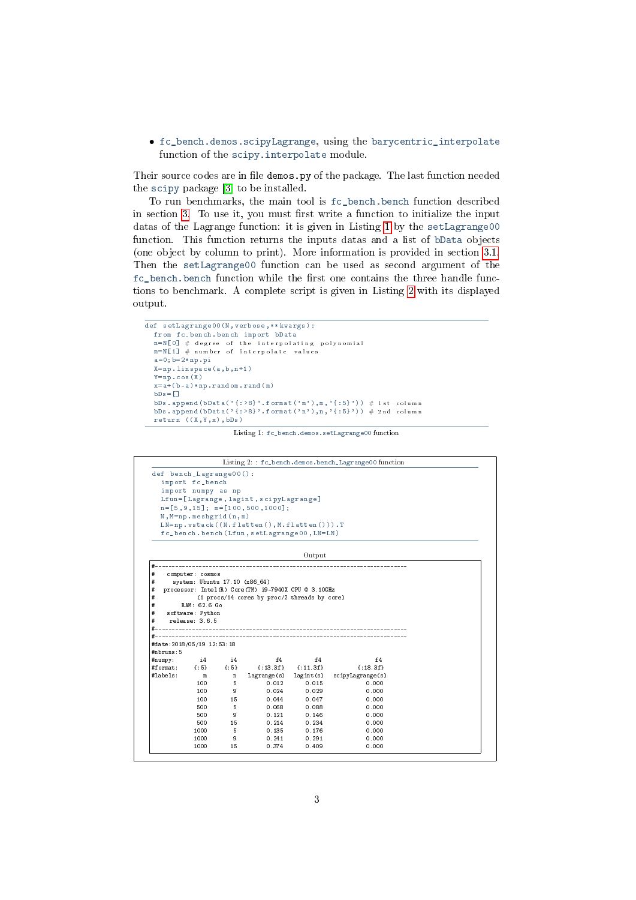<span id="page-2-1"></span><span id="page-2-0"></span>• fc\_bench.demos.scipyLagrange, using the barycentric\_interpolate function of the scipy.interpolate module.

Their source codes are in file demos.py of the package. The last function needed the scipy package [\[3\]](#page-21-0) to be installed.

To run benchmarks, the main tool is fc\_bench.bench function described in section [3.](#page-6-0) To use it, you must first write a function to initialize the input datas of the Lagrange function: it is given in Listing [1](#page-2-0) by the setLagrange00 function. This function returns the inputs datas and a list of bData objects (one object by column to print). More information is provided in section [3.1.](#page-7-0) Then the setLagrange00 function can be used as second argument of the fc\_bench.bench function while the first one contains the three handle functions to benchmark. A complete script is given in Listing [2](#page-2-1) with its displayed output.

```
def setLagrange00 (N , verbose ,** kwargs ) :
  from fc_bench . bench import bData
   {\tt m} = N [O] \# degree of the interpolating polynomial
   m = N [1] \# number of interpolate values
   a = 0; b = 2 * np. pi
   X = np. linspace (a, b, n+1)Y = np \cdot cos(X)\mathtt{x}\mathtt{=a}\mathtt{+}\mathtt{(b-a)}\mathtt{*np} . \mathtt{r}\mathtt{a}\mathtt{n}\mathtt{dom} . \mathtt{r}\mathtt{a}\mathtt{n}\mathtt{d} ( \mathtt{m} )
   bDs = [1]bDs . append (bData('\{ : >8 \}'. format ('m'), m, '\{ :5 \}')) # 1 st column
  bDs. append (bData ('{:>8}'. format ('n'),n,'{:5}')) \# 2nd column
  return ((X, Y, x), bDs)
```
Listing 1: fc\_bench.demos.setLagrange00 function

|                                                                            |                               |         |                                                       |                           | Listing 2: : fc_bench.demos.bench_Lagrange00 function |  |
|----------------------------------------------------------------------------|-------------------------------|---------|-------------------------------------------------------|---------------------------|-------------------------------------------------------|--|
| def bench_Lagrange00():                                                    |                               |         |                                                       |                           |                                                       |  |
|                                                                            | import fc_bench               |         |                                                       |                           |                                                       |  |
|                                                                            | import numpy as np            |         |                                                       |                           |                                                       |  |
|                                                                            |                               |         | Lfun=[Lagrange, lagint, scipyLagrange]                |                           |                                                       |  |
|                                                                            |                               |         | $n = [5, 9, 15];$ $m = [100, 500, 1000];$             |                           |                                                       |  |
|                                                                            | $N, M = np. meshgrid(n, m)$   |         |                                                       |                           |                                                       |  |
|                                                                            |                               |         | $LN = np. vstack((N. flatten(), M. flatten())$ . T    |                           |                                                       |  |
|                                                                            |                               |         | fc_bench.bench(Lfun,setLagrange00,LN=LN)              |                           |                                                       |  |
|                                                                            |                               |         |                                                       |                           |                                                       |  |
|                                                                            |                               |         |                                                       | Output                    |                                                       |  |
|                                                                            |                               |         |                                                       |                           |                                                       |  |
| #                                                                          | computer: cosmos              |         |                                                       |                           |                                                       |  |
| #                                                                          | system: Ubuntu 17.10 (x86_64) |         |                                                       |                           |                                                       |  |
| #                                                                          |                               |         | processor: Intel (R) Core (TM) i9-7940X CPU @ 3.10GHz |                           |                                                       |  |
| #                                                                          |                               |         | (1 procs/14 cores by proc/2 threads by core)          |                           |                                                       |  |
| #                                                                          | RAM: 62.6 Go                  |         |                                                       |                           |                                                       |  |
| #                                                                          | software: Python              |         |                                                       |                           |                                                       |  |
| #                                                                          | relcase: 3.6.5                |         |                                                       |                           |                                                       |  |
| #                                                                          |                               |         |                                                       |                           |                                                       |  |
|                                                                            |                               |         |                                                       |                           |                                                       |  |
|                                                                            |                               |         |                                                       |                           |                                                       |  |
|                                                                            |                               |         |                                                       |                           |                                                       |  |
|                                                                            | i4.                           | i4      | f4                                                    | f4                        | f <sub>4</sub>                                        |  |
|                                                                            | ${5}$                         | ${5}$   |                                                       | $\{:13.3f\}$ $\{:11.3f\}$ | ${1.18.3f}$                                           |  |
|                                                                            | m                             | n       | Lagrange(s)                                           | $l$ ag int $(s)$          | scipyLagrange(s)                                      |  |
|                                                                            | 100                           | 5       | 0.012                                                 | 0.015                     | 0.000                                                 |  |
|                                                                            | 100                           | 9       | 0.024                                                 | 0.029                     | 0.000                                                 |  |
|                                                                            | 100                           | 15      | 0.044                                                 | 0.047                     | 0.000                                                 |  |
|                                                                            | 500                           | 5       | 0.068                                                 | 0.088                     | 0.000                                                 |  |
|                                                                            | 500                           | 9       | 0.121                                                 | 0.146                     | 0.000                                                 |  |
|                                                                            | 500                           | 15      | 0.214                                                 | 0.234                     | 0.000                                                 |  |
| #date: 2018/05/19 12:53:18<br>#nbruns:5<br>#numpy:<br>#format:<br>#labels: | 1000                          | 5       | 0.135                                                 | 0.176                     | 0.000                                                 |  |
|                                                                            | 1000<br>1000                  | 9<br>15 | 0.241<br>0.374                                        | 0.291<br>0.409            | 0.000<br>0.000                                        |  |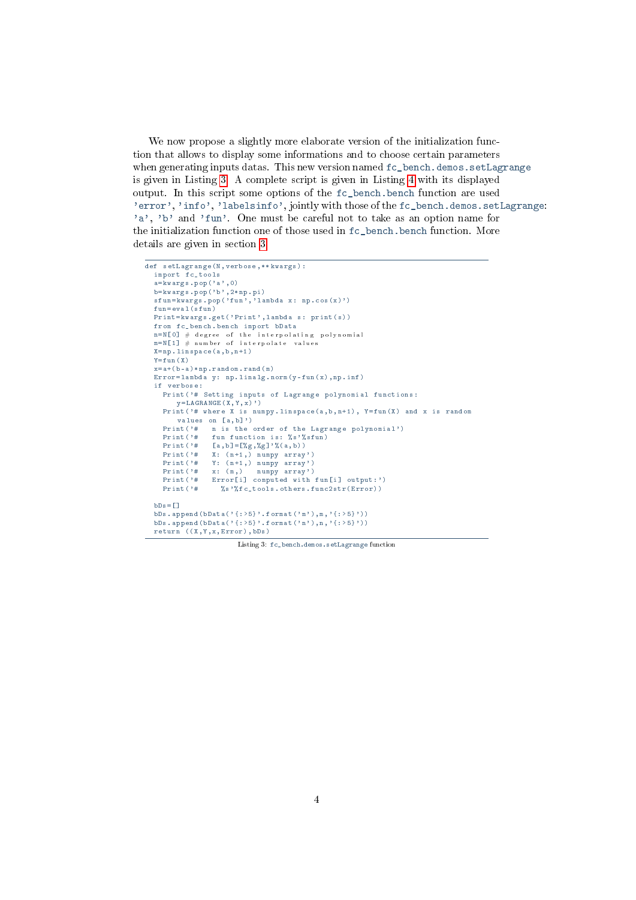<span id="page-3-0"></span>We now propose a slightly more elaborate version of the initialization function that allows to display some informations and to choose certain parameters when generating inputs datas. This new version named  $fc{\text{-}bench}$ .demos.setLagrange is given in Listing [3.](#page-3-0) A complete script is given in Listing [4](#page-4-1) with its displayed output. In this script some options of the fc\_bench.bench function are used 'error', 'info', 'labelsinfo', jointly with those of the fc\_bench.demos.setLagrange: 'a', 'b' and 'fun'. One must be careful not to take as an option name for the initialization function one of those used in fc\_bench.bench function. More details are given in section [3.](#page-6-0)

```
def setLagrange (N , verbose ,** kwargs ) :
  import fc_tools
  a = k \sqrt{arg s}. pop ('a', 0)b = k \text{wargs } . \text{pop} ('b', 2 * np . pi)sfun = kwargs. pop('fun', 'lambda x: np. cos(x)')fun = eval (sfun)
  Print = kwargs.get ('Print', lambda s: print (s))
  from fc_bench . bench import bData
  n = N [O] \# degree of the interpolating polynomial
  {\tt m}={\tt N}\begin{bmatrix}1\end{bmatrix}\begin{array}{l} {\begin{array}{c} \#\\{}}\end{array}}\end{array}{\tt number\ of\ }if\ {~\tt int}\,{\tt er}\,{\tt pol}\,{\tt at}\,e\end{array}}\begin{array}{l} {\tt values}\end{array}\mathtt{X}\!=\!\mathtt{np} . \mathtt{linspace}\,(\,\mathtt{a}\,,\,\mathtt{b}\,,\,\mathtt{n}+1\,)Y = \text{fun}(X)x = a + (b - a) * np. r and om. r and (m)Error = lambda y: np.linalg.norm(y-fun(x), np.inf)if verbose :
     Print ('# Setting inputs of Lagrange polynomial functions:
           y = LA GRANGE (X, Y, x)')
      Print ('# where X is numpy . linspace (a, b, n+1), Y=fun (X) and x is random
          values on [a, b]')
     Print ('# n is the order of the Lagrange polynomial')<br>Print ('# fun function is: 's''s fun)
                     fun function is: % s'% sfun)
      Print ( ' # [a, b ] = [%g, %g] ' % (a, b))
      Print ('# X: (n+1, ) numpy array')
      Print ' # Y : (n+1,) numpy array')
      Print ' # x: (m, ) numpy array')
      Print ('# Error [i] computed with fun [i] output:')
     Print ('# Error [i] computed with fun [i] output: '<br>Print ('# % s'% fc_tools.others.func2str (Error))
  hDs = 1bDs.append(bData('{:>5}'.format('m'),m,'{:>5}'))
  bDs. append (bData ( '{: >5} '. format ('n'), n, '{: >5}'))
  return ((X, Y, x, Error), bDs)
```
Listing 3: fc\_bench.demos.setLagrange function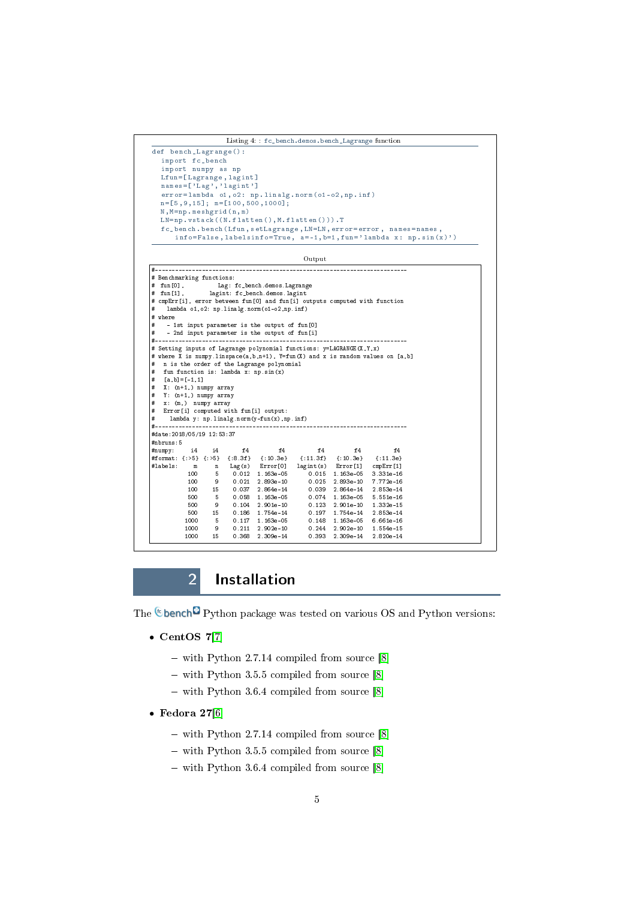```
Listing 4: : fc_bench.demos.bench_Lagrange function
def bench_Lagrange () :
  import fc_bench
  import numpy as np
  Lfun =[ Lagrange , lagint ]
  names = ['Lag', 'lagint']error=lambda o1, o2: np.linalg.norm(o1-o2,np.inf)
  n =[5 ,9 ,15]; m =[100 ,500 ,1000];
  N , M = np . meshgrid (n , m )
  LN = np, vstack ((N, flatten(), M, flatten(), J)fc_bench . bench ( Lfun , setLagrange , LN = LN , error = error , names = names ,
      info=False, labelsinfo=True, a=-1, b=1, fun='lambda x: np.sin(x)')
                                       Output
#---------------------------------------------------------------------------
# Benchmarking functions:
```

```
# fun[0], Lag: fc_bench.demos.Lagrange
# fun[1], lagint: fc_bench.demos.lagint
# cmpErr[i], error between fun[0] and fun[i] outputs computed with function
    lambda o1, o2: np.linalg.norm(o1-o2, np.inf)
# where
# - 1st input parameter is the output of fun[0]
# - 2nd input parameter is the output of fun[i]
#---------------------------------------------------------------------------
.<br># Setting inputs of Lagrange polynomial functions: y=LAGRANGE(X,Y,x)
# where X is numpy.linspace(a,b,n+1), Y=fun(X) and x is random values on [a,b]
  n is the order of the Lagrange polynomial
   f is the function is: lambda x: np.sin(x)
    \left[a, b] = \left[ -1\, ,1\, \right]X: (n+1, ) numpy array
   Y: (n+1,) numpy array
# x: (m,) numpy array
# Error[i] computed with fun[i] output:
# lambda y: np.linalg.norm(y-fun(x),np.inf)
#---------------------------------------------------------------------------
#date:2018/05/19 12:53:37
#nbruns:5
#numpy: i4 i4 f4 f4 f4 f4 f4
#numpy: i4 i4 f4 f4 f4 f4 f4<br>#format: {:>5} {:>5} {:8.3f} {:10.3e} {:11.3f} {:10.3e} {:11.3e}<br>#labels: m n Lag(s) Error[0] lagint(s) Error[1] cmpErr[1]
#labels: m n Lag(s) Error[0] lagint(s) Error[1] cmpErr[1]
            100 5 0.012 1.163e-05 0.015 1.163e-05 3.331e-16<br>100 9 0.021 2.893e-10 0.025 2.893e-10 7.772e-16<br>100 15 0.037 2.864e-14 0.039 2.864e-14 2.853e-14
             100 9 0.021 2.893e-10 0.025 2.893e-10 7.772e-16
100 15 0.037 2.864e-14 0.039 2.864e-14 2.853e-14
            500 5 0.058 1.163e-05 0.074 1.163e-05 5.551e-16
            500 9 0.104 2.901e-10 0.123 2.901e-10 1.332e-15
           500 15 0.186 1.754e-14 0.197 1.754e-14 2.853e-14
            1000 5 0.117 1.163e-05 0.148 1.163e-05 6.661e-16
1000 9 0.211 2.902e-10 0.244 2.902e-10 1.554e-15
           1000 15 0.368 2.309e-14 0.393 2.309e-14 2.820e-14
```
# 2 Installation

<span id="page-4-0"></span>The  $\epsilon$  bench<sup> $\Omega$ </sup> Python package was tested on various OS and Python versions:

- $\bullet$  CentOS 7[\[7\]](#page-22-0)
	- with Python 2.7.14 compiled from source [\[8\]](#page-22-1)
	- $-$  with Python 3.5.5 compiled from source [\[8\]](#page-22-1)
	- with Python 3.6.4 compiled from source [\[8\]](#page-22-1)
- $\bullet$  Fedora 27[\[6\]](#page-22-2)
	- $-$  with Python 2.7.14 compiled from source  $[8]$
	- $-$  with Python 3.5.5 compiled from source [\[8\]](#page-22-1)
	- $-$  with Python 3.6.4 compiled from source [\[8\]](#page-22-1)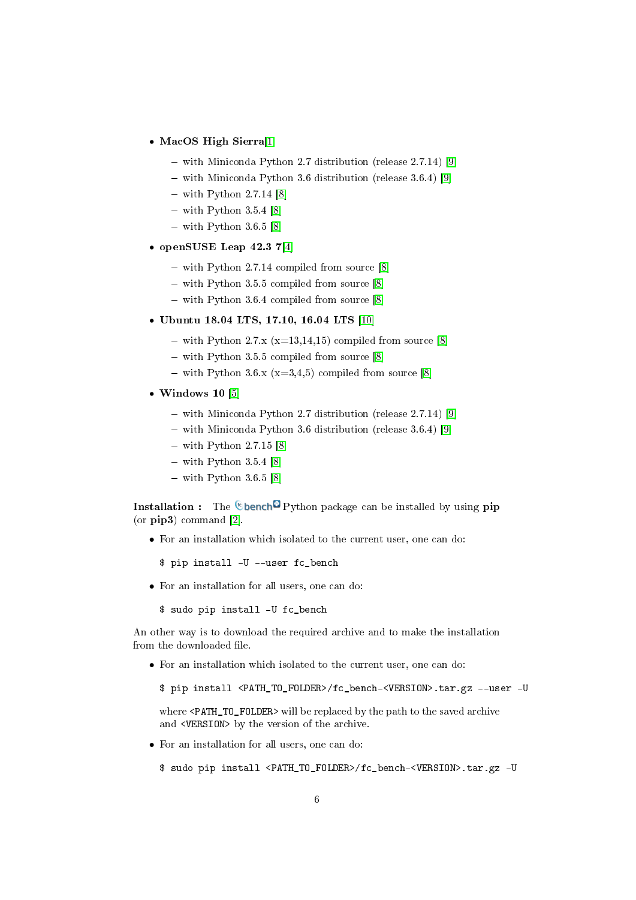- ' MacOS High Sierra[\[1\]](#page-21-1)
	- with Miniconda Python 2.7 distribution (release 2.7.14) [\[9\]](#page-22-3)
	- with Miniconda Python 3.6 distribution (release 3.6.4) [\[9\]](#page-22-3)
	- $-$  with Python 2.7.14 [\[8\]](#page-22-1)
	- $-$  with Python 3.5.4 [\[8\]](#page-22-1)
	- $-$  with Python 3.6.5 [\[8\]](#page-22-1)
- ' openSUSE Leap 42.3 7[\[4\]](#page-22-4)
	- $-$  with Python 2.7.14 compiled from source [\[8\]](#page-22-1)
	- $-$  with Python 3.5.5 compiled from source [\[8\]](#page-22-1)
	- with Python 3.6.4 compiled from source [\[8\]](#page-22-1)
- ' Ubuntu 18.04 LTS, 17.10, 16.04 LTS [\[10\]](#page-22-5)
	- with Python 2.7.x  $(x=13,14,15)$  compiled from source [\[8\]](#page-22-1)
	- $-$  with Python 3.5.5 compiled from source [\[8\]](#page-22-1)
	- with Python 3.6.x  $(x=3,4,5)$  compiled from source [\[8\]](#page-22-1)
- $\bullet$  Windows 10 [\[5\]](#page-22-6)
	- with Miniconda Python 2.7 distribution (release 2.7.14) [\[9\]](#page-22-3)
	- with Miniconda Python 3.6 distribution (release 3.6.4) [\[9\]](#page-22-3)
	- $-$  with Python 2.7.15 [\[8\]](#page-22-1)
	- $-$  with Python 3.5.4 [\[8\]](#page-22-1)
	- $-$  with Python 3.6.5 [\[8\]](#page-22-1)

**Installation :** The **C** bench<sup>c</sup> Python package can be installed by using pip (or pip3) command [\[2\]](#page-21-2).

• For an installation which isolated to the current user, one can do:

\$ pip install -U --user fc\_bench

- For an installation for all users, one can do:
	- \$ sudo pip install -U fc\_bench

An other way is to download the required archive and to make the installation from the downloaded file.

- For an installation which isolated to the current user, one can do:
	- \$ pip install <PATH\_TO\_FOLDER>/fc\_bench-<VERSION>.tar.gz --user -U

where <PATH\_TO\_FOLDER> will be replaced by the path to the saved archive and <VERSION> by the version of the archive.

• For an installation for all users, one can do:

\$ sudo pip install <PATH\_TO\_FOLDER>/fc\_bench-<VERSION>.tar.gz -U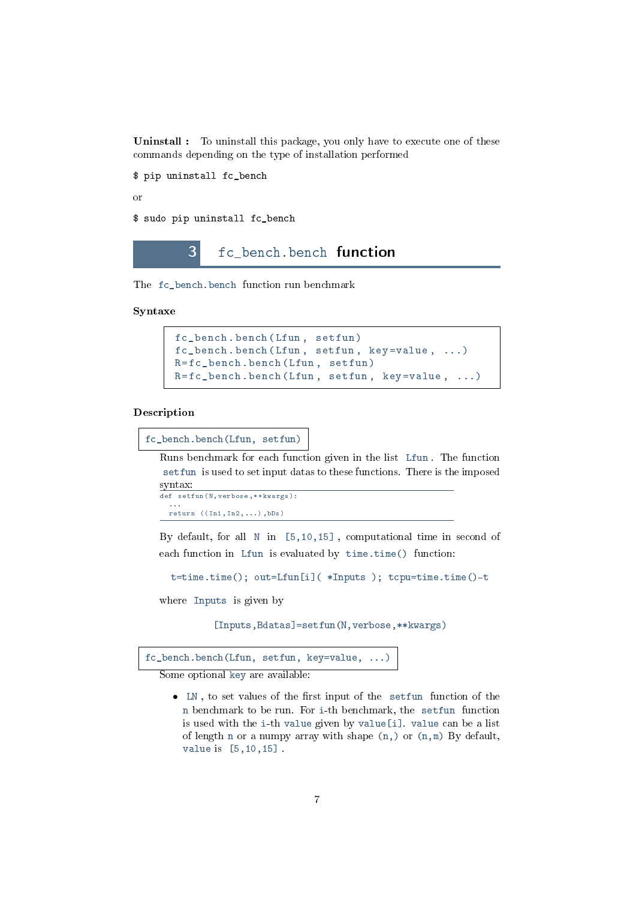Uninstall : To uninstall this package, you only have to execute one of these commands depending on the type of installation performed

\$ pip uninstall fc\_bench

or

<span id="page-6-0"></span>\$ sudo pip uninstall fc bench

3 fc\_bench.bench function

The fc\_bench.bench function run benchmark

Syntaxe

```
fc_bench . bench ( Lfun , setfun )
fc\_\text{bench}. bench (Lfun, setfun, key = value, ...)
R = f c_{\text{.}} bench . bench (Lfun, setfun)
R = fc_bench . bench ( Lfun , setfun , key = value , ...)
```
#### Description

```
fc_bench.bench(Lfun, setfun)
```
Runs benchmark for each function given in the list Lfun . The function setfun is used to set input datas to these functions. There is the imposed syntax:

```
def setfun (N, verbose, ** kwargs) :
   ...
return (( In1 , In2 ,...) , bDs )
```
By default, for all N in [5,10,15] , computational time in second of each function in Lfun is evaluated by time.time() function:

```
t=time.time(); out=Lfun[i]( *Inputs ); tcpu=time.time()-t
```
where Inputs is given by

[Inputs,Bdatas]=setfun(N,verbose,\*\*kwargs)

fc\_bench.bench(Lfun, setfun, key=value, ...)

Some optional key are available:

 $\bullet$  LN, to set values of the first input of the setfun function of the n benchmark to be run. For i-th benchmark, the setfun function is used with the i-th value given by value[i]. value can be a list of length n or a numpy array with shape (n,) or (n,m) By default, value is [5,10,15] .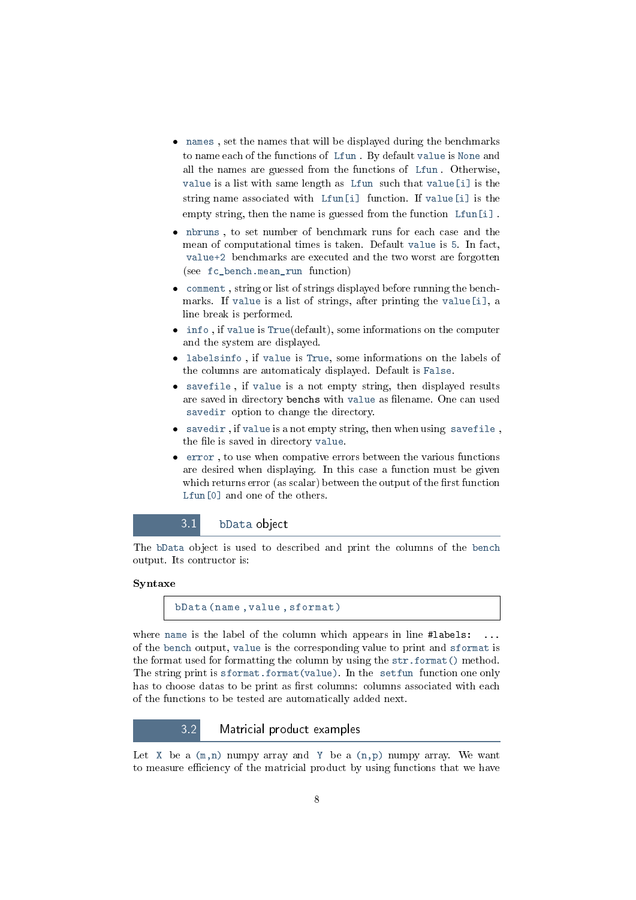- names , set the names that will be displayed during the benchmarks to name each of the functions of Lfun . By default value is None and all the names are guessed from the functions of Lfun . Otherwise, value is a list with same length as Lfun such that value<sup>[i]</sup> is the string name associated with Lfun[i] function. If value[i] is the empty string, then the name is guessed from the function Lfun[i] .
- nbruns , to set number of benchmark runs for each case and the mean of computational times is taken. Default value is 5. In fact, value+2 benchmarks are executed and the two worst are forgotten (see fc\_bench.mean\_run function)
- comment , string or list of strings displayed before running the benchmarks. If value is a list of strings, after printing the value[i], a line break is performed.
- info , if value is True(default), some informations on the computer and the system are displayed.
- labelsinfo , if value is True, some informations on the labels of the columns are automaticaly displayed. Default is False.
- savefile , if value is a not empty string, then displayed results are saved in directory benchs with value as filename. One can used savedir option to change the directory.
- savedir , if value is a not empty string, then when using savefile , the file is saved in directory value.
- error , to use when compative errors between the various functions are desired when displaying. In this case a function must be given which returns error (as scalar) between the output of the first function Lfun<sup>[0]</sup> and one of the others.

### 3.1 bData object

<span id="page-7-0"></span>The bData object is used to described and print the columns of the bench output. Its contructor is:

#### Syntaxe

```
bData ( name , value , sformat )
```
where name is the label of the column which appears in line #labels: of the bench output, value is the corresponding value to print and sformat is the format used for formatting the column by using the str.format() method. The string print is sformat.format(value). In the setfun function one only has to choose datas to be print as first columns: columns associated with each of the functions to be tested are automatically added next.

#### 3.2 Matricial product examples

<span id="page-7-1"></span>Let  $X$  be a  $(m,n)$  numpy array and Y be a  $(n,p)$  numpy array. We want to measure efficiency of the matricial product by using functions that we have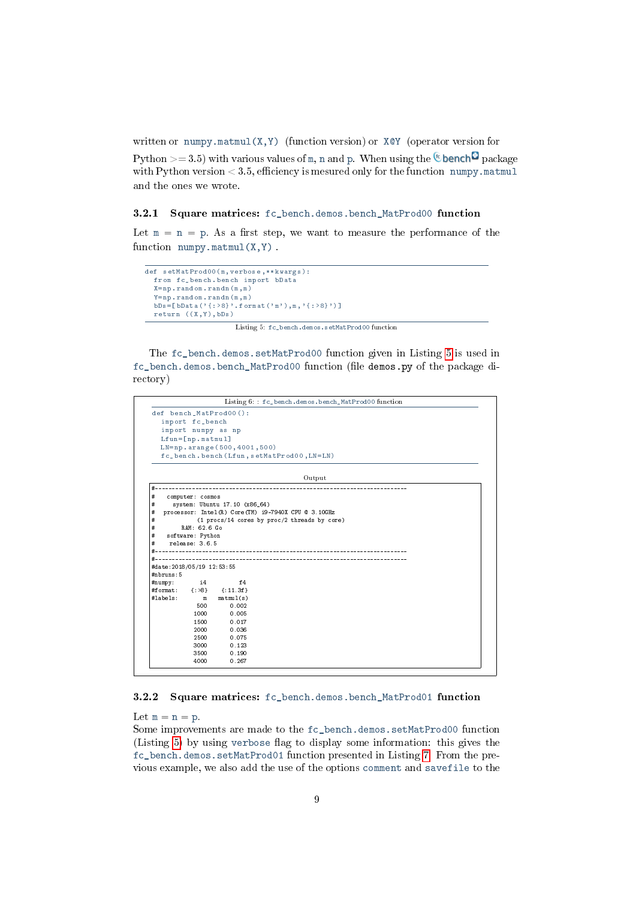written or numpy.matmul(X, Y) (function version) or  $X \otimes Y$  (operator version for

Python  $> = 3.5$ ) with various values of m, n and p. When using the <sup>c</sup>over bench<sup>2</sup> package with Python version  $< 3.5$ , efficiency is mesured only for the function numpy. matmul and the ones we wrote.

#### <span id="page-8-0"></span>3.2.1 Square matrices: fc\_bench.demos.bench\_MatProd00 function

Let  $m = n = p$ . As a first step, we want to measure the performance of the function  $\text{numpy.matmul}(X, Y)$ .

```
def setMatProd00 (m , verbose ,** kwargs ) :
  from fc bench bench import bData
  X = np. random. randn(m, m)Y = np. random. randn(m, m)bDs = [bData('{: >8}'. format ('m'), m, '{: >8}')]
  return ((X, Y), bDs)
```
Listing 5: fc\_bench.demos.setMatProd00 function

The fc\_bench.demos.setMatProd00 function given in Listing [5](#page-8-2) is used in fc\_bench.demos.bench\_MatProd00 function (file demos.py of the package directory)



#### <span id="page-8-1"></span>3.2.2 Square matrices: fc\_bench.demos.bench\_MatProd01 function

Let  $m = n = p$ .

Some improvements are made to the fc\_bench.demos.setMatProd00 function (Listing [5\)](#page-8-2) by using verbose flag to display some information: this gives the fc\_bench.demos.setMatProd01 function presented in Listing [7.](#page-9-0) From the previous example, we also add the use of the options comment and savefile to the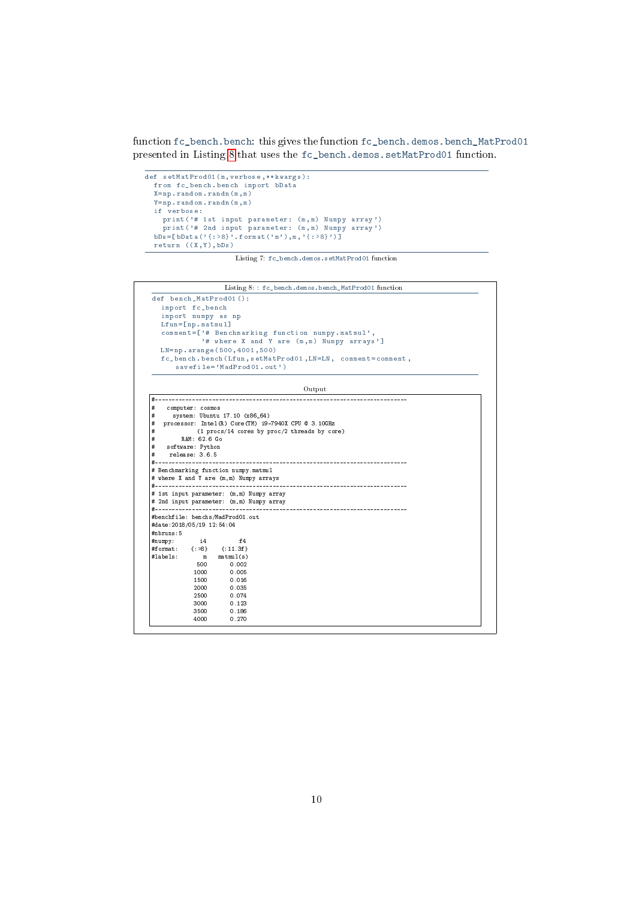function fc\_bench.bench: this gives the function fc\_bench.demos.bench\_MatProd01 presented in Listing [8](#page-9-1) that uses the fc\_bench.demos.setMatProd01 function.

```
def setMatProd01 (m, verbose, ** kwargs) :
  from fc_bench . bench import bData
  X = np. random. randn (m, m)Y = np. random. randn(m, m)if verbose :
     print ('# 1st input parameter: (m, m) Numpy array')
     print ('# 2nd input parameter: (m,m) Numpy array')
  bDs = [bData ('{: >8}<sup>'</sup>. format ('m'), m, '{: >8}')]
  return ((X,Y),bDs)
```
Listing 7: fc\_bench.demos.setMatProd01 function

```
Listing 8: : fc_bench.demos.bench_MatProd01 function
def bench_MatProd01 () :
  import fc_bench
import numpy as np
  Lfun = [np . matmul]
  comment =[ '# Benchmarking function numpy . matmul ' ,
             '# where X and Y are (m,m) Numpy arrays']
  \verb|LM=np. arraye (500 , 4001 , 500)fc_bench . bench ( Lfun , setMatProd01 , LN = LN , comment = comment ,
      savefile = ' MadProd01 . out ')
                                          Output
```

```
#---------------------------------------------------------------------------
    computer: cosmos
       system: Ubuntu 17.10 (x86_64)# processor: Intel(R) Core(TM) i9-7940X CPU @ 3.10GHz
# (1 procs/14 cores by proc/2 threads by core)
# RAM: 62.6 Go
     software: Python
# release: 3.6.5
#---------------------------------------------------------------------------
# Benchmarking function numpy.matmul
# where X and Y are (m,m) Numpy arrays
#---------------------------------------------------------------------------
# 1st input parameter: (m,m) Numpy array
# 2nd input parameter: (m,m) Numpy array
#---------------------------------------------------------------------------
#benchfile: benchs/MadProd01.out
#date:2018/05/19 12:54:04
#nbruns:5
#numpy: i4 f4
#format: {:>8} {:11.3f}
#labels: m matmul(s)
                 \begin{array}{ccc} 500 & \quad & 0.002 \\ 1000 & \quad & 0.005 \\ 1500 & \quad & 0.016 \end{array}0.005\begin{array}{ccc} 1500 & \quad & 0.016 \\ 2000 & \quad & 0.035 \end{array}2000 0.035
                 2500 0.074<br>3000 0.123
                 3000 0.123<br>3500 0.186
                 3500 0.186<br>4000 0.270
                                0.270
```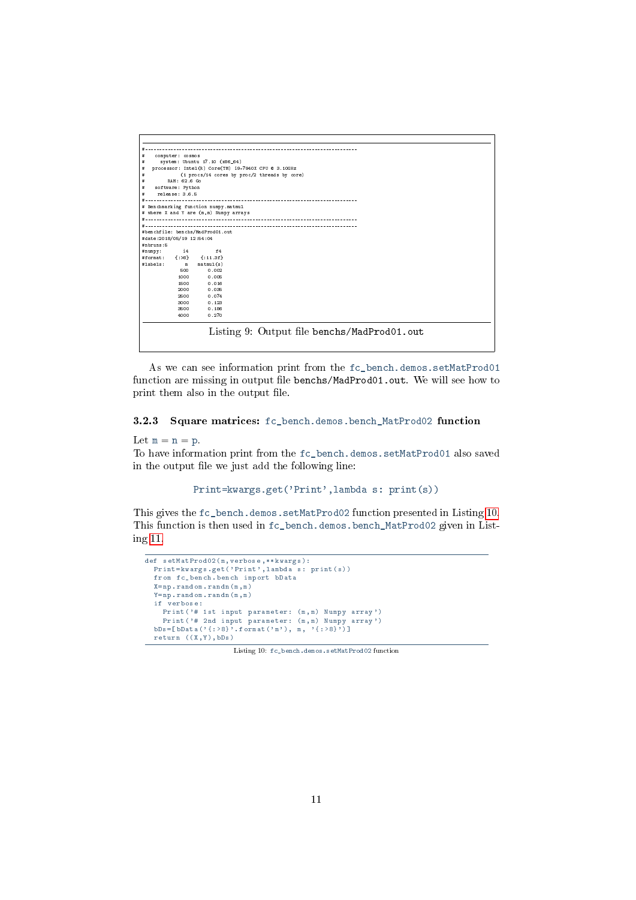<span id="page-10-1"></span>

| #                                       | computer: cosmos |                                        |                                                     |
|-----------------------------------------|------------------|----------------------------------------|-----------------------------------------------------|
| #                                       |                  | system: Ubuntu 17.10 (x86_64)          |                                                     |
| #                                       |                  |                                        | processor: Intel(R) Core(TM) i9-7940X CPU @ 3.10GHz |
| #                                       |                  |                                        | (1 procs/14 cores by proc/2 threads by core)        |
| #                                       | RAM: 62.6 Go     |                                        |                                                     |
| #                                       | software: Python |                                        |                                                     |
| #                                       | release: 3.6.5   |                                        |                                                     |
| #                                       |                  |                                        |                                                     |
|                                         |                  | # Benchmarking function numpy.matmul   |                                                     |
|                                         |                  | # where X and Y are (m,m) Numpy arrays |                                                     |
|                                         |                  |                                        |                                                     |
|                                         |                  |                                        |                                                     |
|                                         |                  | #benchfile: benchs/MadProd01.out       |                                                     |
| #date:2018/05/19 12:54:04<br>#nhruns: 5 |                  |                                        |                                                     |
|                                         | $\frac{14}{2}$   | f4                                     |                                                     |
| #numpy:                                 |                  | #format: {:>8} {:11.3f}                |                                                     |
| #labels: m                              |                  | matmul(s)                              |                                                     |
|                                         | 500              | 0.002                                  |                                                     |
|                                         | 1000             | 0.005                                  |                                                     |
|                                         | 1500             | 0.016                                  |                                                     |
|                                         | 2000             | 0.035                                  |                                                     |
|                                         | 2500             | 0.074                                  |                                                     |
|                                         | 3000             | 0.123                                  |                                                     |
|                                         | 3500             | 0.186                                  |                                                     |
|                                         | 4000             | 0.270                                  |                                                     |
|                                         |                  |                                        |                                                     |

As we can see information print from the fc\_bench.demos.setMatProd01 function are missing in output file benchs/MadProd01.out. We will see how to print them also in the output file.

#### <span id="page-10-0"></span>3.2.3 Square matrices: fc\_bench.demos.bench\_MatProd02 function

#### Let  $m = n = p$ .

To have information print from the fc\_bench.demos.setMatProd01 also saved in the output file we just add the following line:

Print=kwargs.get('Print',lambda s: print(s))

This gives the fc\_bench.demos.setMatProd02 function presented in Listing [10.](#page-10-1) This function is then used in fc\_bench.demos.bench\_MatProd02 given in Listing [11.](#page-11-0)

```
def setMatProd02 (m, verbose, ** kwargs) :
 Print = kwargs.get ('Print', lambda s: print (s))
 from fc_bench . bench import bData
 X = np. random. randn(m, m)Y = np. random. randn (m, m)if verbose :
    Print ('# 1st input parameter: (m, m) Numpy array')
    Print ('# 2nd input parameter: (m,m) Numpy array')
  bDs = [bData('{: >8}'. format ('m'), m, '{: >8}')]
 return ((X, Y), bDs)
```
Listing 10: fc\_bench.demos.setMatProd02 function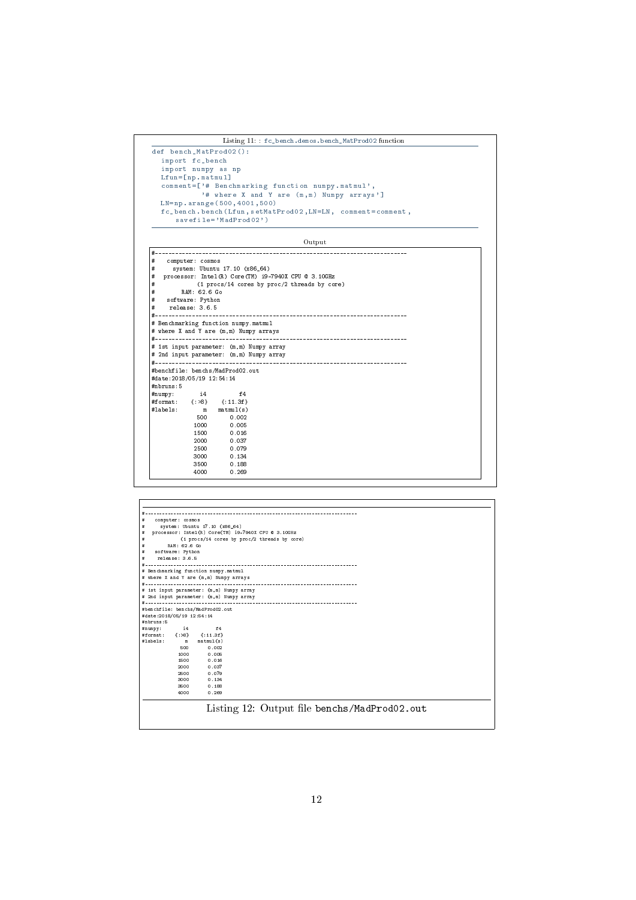```
Listing 11: : fc_bench.demos.bench_MatProd02 function
```

```
def bench_MatProdO2():<br>
import fc_bench<br>
import numpy as np<br>
Lfun=[np.matmul]<br>
comment=['# Benchmarking function numpy.matmul',<br>
"# where X and Y are (m,m) Numpy arrays']<br>
LN=np.arange(500,4001,500)<br>
fc_bench.bench(Lfun,se
```
#### Output

| #                          | computer: cosmos |                                                    |                                                       |
|----------------------------|------------------|----------------------------------------------------|-------------------------------------------------------|
| #                          |                  | system: Ubuntu 17.10 (x86_64)                      |                                                       |
| #                          |                  |                                                    | processor: Intel (R) Core (TM) i9-7940X CPU @ 3.10GHz |
| #                          |                  |                                                    | (1 procs/14 cores by proc/2 threads by core)          |
| #                          | RAM: 62.6 Go     |                                                    |                                                       |
| #                          | software: Python |                                                    |                                                       |
| #                          | release: 3.6.5   |                                                    |                                                       |
|                            |                  |                                                    |                                                       |
|                            |                  | # Benchmarking function numpy.matmul               |                                                       |
|                            |                  | # where X and Y are (m,m) Numpy arrays             |                                                       |
|                            |                  |                                                    |                                                       |
|                            |                  |                                                    | # 1st input parameter: (m,m) Numpy array              |
|                            |                  |                                                    | # 2nd input parameter: (m,m) Numpy array              |
|                            |                  |                                                    |                                                       |
|                            |                  |                                                    |                                                       |
|                            |                  | #benchfile: benchs/MadProd02.out                   |                                                       |
| #date: 2018/05/19 12:54:14 |                  |                                                    |                                                       |
| #nbruns:5                  |                  |                                                    |                                                       |
|                            |                  |                                                    |                                                       |
|                            |                  | $# \text{numpy}:$ i4 f4<br>#format: {:>8} {:11.3f} |                                                       |
| #labels:                   |                  | m matmul(s)                                        |                                                       |
|                            | 500              | 0.002                                              |                                                       |
|                            | 1000             | 0.005                                              |                                                       |
|                            | 1500             | 0.016                                              |                                                       |
|                            | 2000             | 0.037                                              |                                                       |
|                            | 2500             | 0.079                                              |                                                       |
|                            | 3000             | 0.134                                              |                                                       |
|                            | 3500             | 0.188                                              |                                                       |

| #                          | computer: cosmos |                                                                                |                                                     |  |
|----------------------------|------------------|--------------------------------------------------------------------------------|-----------------------------------------------------|--|
| #                          |                  | system: Ubuntu 17.10 (x86_64)                                                  |                                                     |  |
| #                          |                  |                                                                                | processor: Intel(R) Core(TM) 19-7940X CPU @ 3.10GHz |  |
| #                          |                  |                                                                                | (1 procs/14 cores by proc/2 threads by core)        |  |
| #                          | RAM: 62.6 Go     |                                                                                |                                                     |  |
| #                          | software: Python |                                                                                |                                                     |  |
| #                          | release: 3.6.5   |                                                                                |                                                     |  |
|                            |                  |                                                                                |                                                     |  |
|                            |                  | # Benchmarking function numpy.matmul<br># where X and Y are (m,m) Numpy arrays |                                                     |  |
|                            | ---------------- |                                                                                |                                                     |  |
|                            |                  | # ist input parameter: (m,m) Numpy array                                       |                                                     |  |
|                            |                  | # 2nd input parameter: (m,m) Numpy array                                       |                                                     |  |
|                            |                  |                                                                                |                                                     |  |
|                            |                  | #benchfile: benchs/MadProd02.out                                               |                                                     |  |
|                            |                  |                                                                                |                                                     |  |
| #date: 2018/05/19 12:54:14 |                  |                                                                                |                                                     |  |
| #nbruns: 5                 |                  |                                                                                |                                                     |  |
|                            |                  | #numpy: i4 f4                                                                  |                                                     |  |
|                            |                  | #format: {:>8} {:11.3f}                                                        |                                                     |  |
|                            |                  | #labels: m matmul(s)                                                           |                                                     |  |
|                            | 500              | 0.002                                                                          |                                                     |  |
|                            | 1000             | 0.005                                                                          |                                                     |  |
|                            | 1500             | 0.016                                                                          |                                                     |  |
|                            | 2000             | 0.037                                                                          |                                                     |  |
|                            | 2500             | 0.079                                                                          |                                                     |  |
|                            | 3000             | 0.134                                                                          |                                                     |  |
|                            | 3500<br>4000     | 0.188<br>0.269                                                                 |                                                     |  |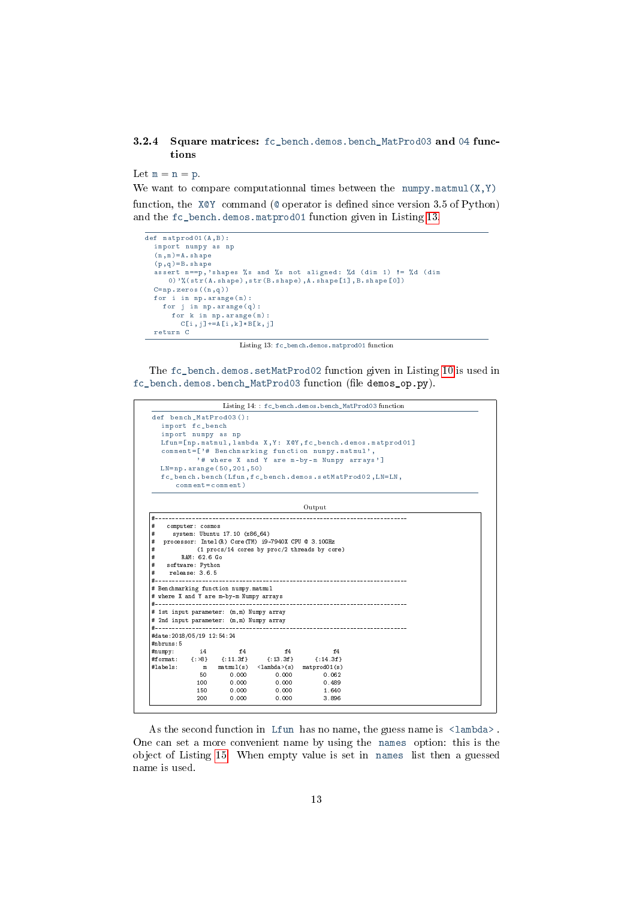#### <span id="page-12-1"></span><span id="page-12-0"></span>3.2.4 Square matrices: fc\_bench.demos.bench\_MatProd03 and 04 functions

Let  $m = n = p$ .

We want to compare computationnal times between the numpy.matmul( $X, Y$ ) function, the  $XQY$  command ( $Q$  operator is defined since version 3.5 of Python) and the fc\_bench.demos.matprod01 function given in Listing [13.](#page-12-1)

```
def matprod01(A, B):
  import numpy as np
  (n \; , \; m) = A . shape
  (p, q) = B \cdot shapeassert m == p, 'shapes % s and % s not aligned: % d (dim 1) != % d (dim
      0) '% (str (A. shape), str (B. shape), A. shape [1], B. shape [0])
  C = np. zeros ((n, q))for i in np. arange(n):
     for j in np arange (q):
      for k in np arange (m):
         C[i, j] += A[i, k] * B[k, j]return C
```
Listing 13: fc\_bench.demos.matprod01 function

The fc\_bench.demos.setMatProd02 function given in Listing [10](#page-10-1) is used in fc\_bench.demos.bench\_MatProd03 function (file demos\_op.py).

|                               |                  |                                          |                                                       |                                                  | Listing 14: : fc_bench.demos.bench_MatProd03 function        |
|-------------------------------|------------------|------------------------------------------|-------------------------------------------------------|--------------------------------------------------|--------------------------------------------------------------|
|                               |                  | def bench_MatProd03():                   |                                                       |                                                  |                                                              |
|                               | import fc_bench  |                                          |                                                       |                                                  |                                                              |
|                               |                  | import numpy as np                       |                                                       |                                                  |                                                              |
|                               |                  |                                          |                                                       |                                                  | Lfun=[np.matmul, lambda X, Y: X@Y, fc_bench.demos.matprod01] |
|                               |                  |                                          |                                                       | comment=['# Benchmarking function numpy.matmul', |                                                              |
|                               |                  |                                          |                                                       | '# where X and Y are m-by-m Numpy arrays']       |                                                              |
|                               |                  | $LN = np. \narray (50, 201, 50)$         |                                                       |                                                  |                                                              |
|                               |                  |                                          |                                                       |                                                  | fc_bench.bench(Lfun,fc_bench.demos.setMatProd02,LN=LM,       |
|                               |                  | $comment = comment)$                     |                                                       |                                                  |                                                              |
|                               |                  |                                          |                                                       |                                                  |                                                              |
|                               |                  |                                          |                                                       | Output                                           |                                                              |
| #-------------                |                  |                                          |                                                       |                                                  |                                                              |
| #                             | computer: cosmos |                                          |                                                       |                                                  |                                                              |
| #                             |                  | system: Ubuntu 17.10 (x86_64)            |                                                       |                                                  |                                                              |
| #                             |                  |                                          | processor: Intel (R) Core (TM) i9-7940X CPU @ 3.10GHz |                                                  |                                                              |
| #                             |                  |                                          |                                                       | (1 procs/14 cores by proc/2 threads by core)     |                                                              |
| #                             | RAM: 62.6 Go     |                                          |                                                       |                                                  |                                                              |
| #                             | software: Python |                                          |                                                       |                                                  |                                                              |
| #                             | relcase: 3.6.5   |                                          |                                                       |                                                  |                                                              |
|                               |                  |                                          |                                                       |                                                  |                                                              |
|                               |                  | # Benchmarking function numpy.matmul     |                                                       |                                                  |                                                              |
|                               |                  | # where X and Y are m-by-m Numpy arrays  |                                                       |                                                  |                                                              |
|                               |                  |                                          |                                                       |                                                  |                                                              |
|                               |                  | # 1st input parameter: (m,m) Numpy array |                                                       |                                                  |                                                              |
|                               |                  | # 2nd input parameter: (m,m) Numpy array |                                                       |                                                  |                                                              |
| #------------------------     |                  |                                          |                                                       |                                                  |                                                              |
| #date: 2018/05/19 12:54:24    |                  |                                          |                                                       |                                                  |                                                              |
| #nbruns:5                     |                  |                                          |                                                       |                                                  |                                                              |
|                               |                  | f4                                       | f4                                                    | f4                                               |                                                              |
|                               | 14               |                                          |                                                       |                                                  |                                                              |
|                               |                  | #format: {:>8} {:11.3f}                  | ${:}13.3f$                                            | ${1.14.3f}$                                      |                                                              |
|                               | m                |                                          | $matmul(s)$ <lambda>(s)</lambda>                      | matprod01(s)                                     |                                                              |
|                               | 50               | 0.000                                    | 0.000                                                 | 0.062                                            |                                                              |
|                               | 100              | 0.000                                    | 0.000                                                 | 0.489                                            |                                                              |
| $# \text{numpy}:$<br>#labels: | 150<br>200       | 0.000<br>0.000                           | 0.000<br>0.000                                        | 1.640<br>3.896                                   |                                                              |

As the second function in Lfun has no name, the guess name is  $\langle$ lambda>. One can set a more convenient name by using the names option: this is the object of Listing [15.](#page-13-1) When empty value is set in names list then a guessed name is used.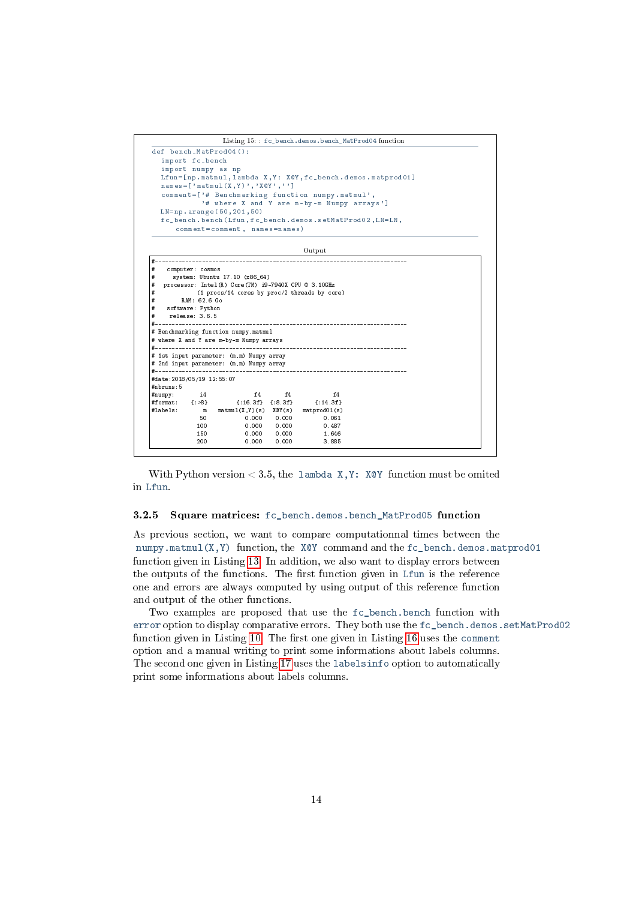<span id="page-13-1"></span>

With Python version  $< 3.5$ , the lambda X, Y: XQY function must be omited in Lfun.

#### <span id="page-13-0"></span>3.2.5 Square matrices: fc\_bench.demos.bench\_MatProd05 function

As previous section, we want to compare computationnal times between the numpy.matmul(X,Y) function, the X@Y command and the  $fc$  bench.demos.matprod01 function given in Listing [13.](#page-12-1) In addition, we also want to display errors between the outputs of the functions. The first function given in Lfun is the reference one and errors are always computed by using output of this reference function and output of the other functions.

Two examples are proposed that use the fc\_bench.bench function with error option to display comparative errors. They both use the fc\_bench.demos.setMatProd02 function given in Listing [10.](#page-10-1) The first one given in Listing [16](#page-14-0) uses the comment option and a manual writing to print some informations about labels columns. The second one given in Listing [17](#page-15-1) uses the labelsinfo option to automatically print some informations about labels columns.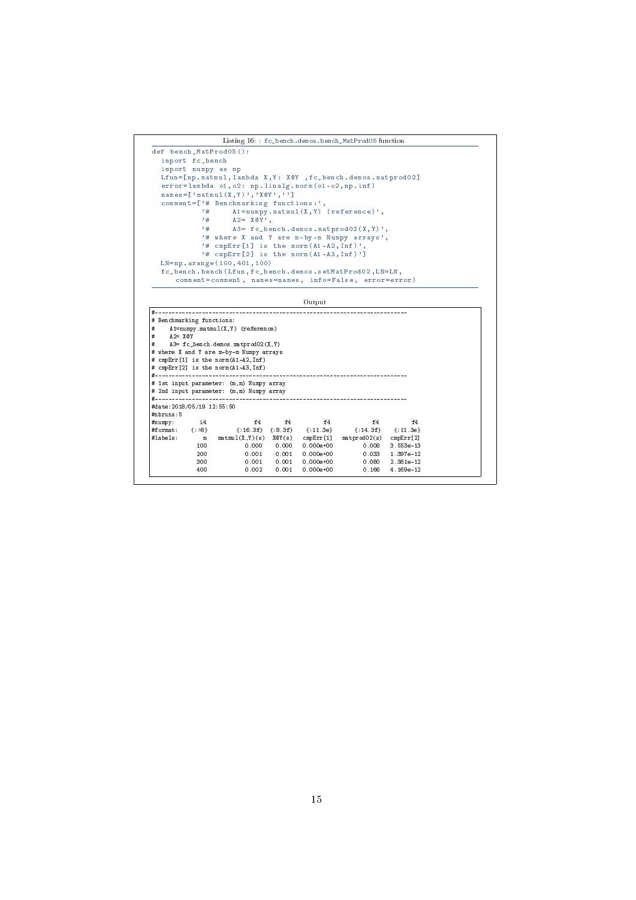```
Listing 16: : fc_bench.demos.bench_MatProd05 function
def bench_MatProd05 () :
    import fc_bench
    import numpy as np
Lfun =[ np . matmul , lambda X , Y : X@Y , fc_bench . demos . matprod02 ]
    error=lambda o1, o2: np.linalg.norm(o1-o2,np.inf)<br>names=['matmul(X,Y)','X@Y','']
    comment = ['# Benchmarking functions:',<br>
'# A1 = numpy .matmul (X, Y) (reference)',<br>
'# A2 = X@Y',<br>
'# A3 = fc_bench .demos .matprod02 (X, Y)',
                   '# where X and Y are m-by-m Numpy arrays',
                    '# cmpErr [1] is the norm (A1-A2, Inf)',<br>'# cmpErr [2] is the norm (A1-A3, Inf)']
   LN = np . arange (100 ,401 ,100)
    fc_bench . bench ( Lfun , fc_bench . demos . setMatProd02 , LN = LN ,
comment = comment , names = names , info = False , error = error )
                                                          Output
#---------------------------------------------------------------------------
# Benchmarking functions:<br># A1=numpy.matmul(X,Y)
# A1=numpy.matmul(X,Y) (reference)
# A2= X@Y
# A3= fc_bench.demos.matprod02(X,Y)
```
# cmpErr[2] is the norm(A1-A3,Inf) #---------------------------------------------------------------------------

# 2nd input parameter: (m,m) Numpy array #--------------------------------------------------------------------------- #date:2018/05/19 12:55:50

#numpy: i4 f4 f4 f4 f4 f4 #format: {:>8} {:16.3f} {:8.3f} {:11.3e} {:14.3f} {:11.3e} #labels: m matmul(X,Y)(s) X@Y(s) cmpErr[1] matprod02(s) cmpErr[2]

100 m matmul(X,Y)(s) XeV(s) cmpErr[1] matprod02(s) cmpErr[2]<br>100 0.000 0.000 0.000e+00 0.008 3.553e-13<br>200 0.001 0.001 0.000e+00 0.033 1.397e-12  $\begin{array}{cccccccc} 100 & 0.000 & 0.000 & 0.000 & +00 & 0.008 & 3.553e-13 \\ 200 & 0.001 & 0.001 & 0.000e+00 & 0.033 & 1.397e-12 \\ 300 & 0.001 & 0.001 & 0.000e+00 & 0.080 & 2.381e-12 \end{array}$ 300 0.001 0.001 0.000e+00 0.080 2.381e-12

 $4.169e-12$ 

# where X and Y are m-by-m Numpy arrays # cmpErr[1] is the norm(A1-A2,Inf)

# 1st input parameter: (m,m) Numpy array

#nbruns:5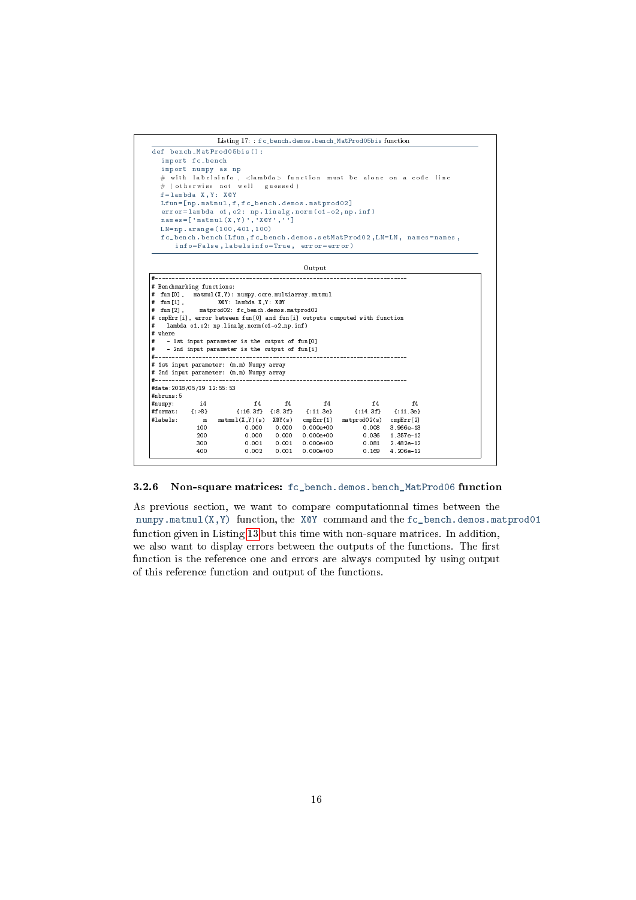<span id="page-15-1"></span>

<span id="page-15-0"></span>3.2.6 Non-square matrices: fc\_bench.demos.bench\_MatProd06 function

As previous section, we want to compare computationnal times between the numpy.matmul(X,Y) function, the X@Y command and the fc\_bench.demos.matprod01 function given in Listing [13](#page-12-1) but this time with non-square matrices. In addition, we also want to display errors between the outputs of the functions. The first function is the reference one and errors are always computed by using output of this reference function and output of the functions.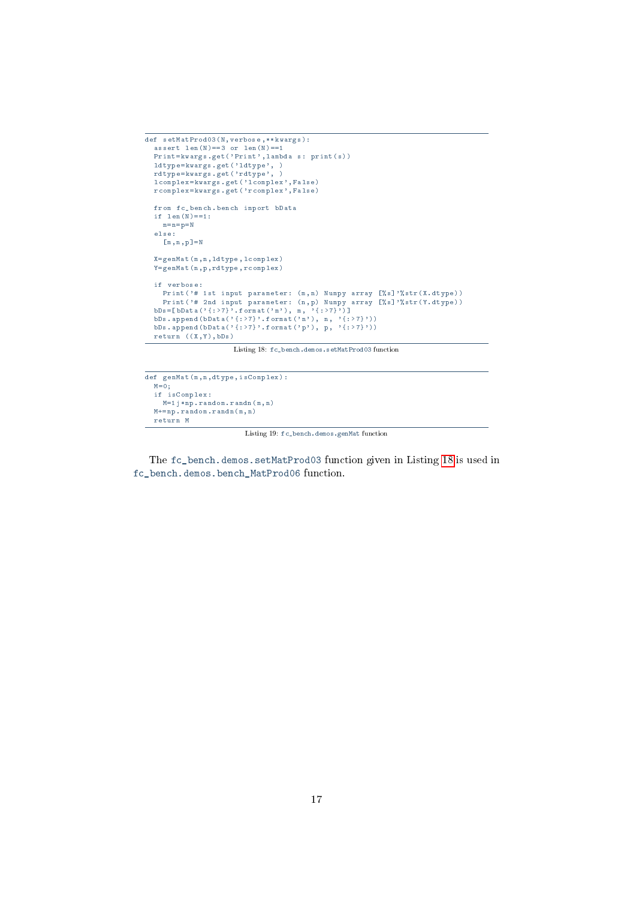```
def setMatProd03 (N , verbose ,** kwargs ) :
  assert len(N) == 3 or len(N) == 1Print = kwargs .get ('Print', lambda s: print (s))
  ldtype=kwargs .get ('ldtype', )
  rdtype = kwargs . get ( ' rdtype ' , )
  lcomplex = kwargs . get ( ' lcomplex ' , False )
  rcomplex = kwargs . get ( ' rcomplex ' , False )
  from fc_bench . bench import bData
  if len(N) == 1:
   m = n = p = Nelse :
    [m, n, p] = NX = genMat (m ,n , ldtype , lcomplex )
  Y = genMat (n ,p , rdtype , rcomplex )
  if verbose :
   Print ('# 1st input parameter: (m, n) Numpy array [%s]'%str(X.dtype))
     Print ('# 2nd input parameter: (n, p) Numpy array [%s]'%str (Y. dtype))
  bDs = [bData('{: >7}'. format ('m'), m, '{: >7}')]
  bDs.append(bData('{:>7}'.format('n'), n, '{:>7}'))
  bDs. append (bData('{:>7}'. format ('p'), p, '{:>7}'))
  return ((X, Y), bDs)
```
Listing 18: fc\_bench.demos.setMatProd03 function

```
def genMat (m ,n , dtype , isComplex ) :
   M = 0;
   if isComplex :
    \mathbb{M}=\mathbb{1}j * np . random . randn(\mathbbm{n} , n )
   M += np. random . randn (m, n)return M
```
Listing 19: fc\_bench.demos.genMat function

The fc\_bench.demos.setMatProd03 function given in Listing [18](#page-16-0) is used in fc\_bench.demos.bench\_MatProd06 function.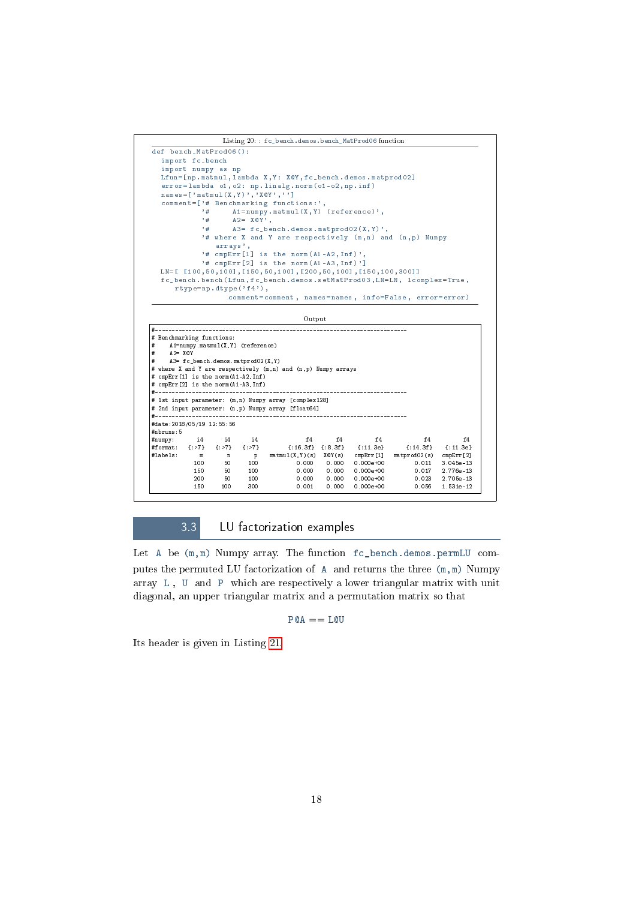

3.3 LU factorization examples

<span id="page-17-0"></span>Let A be (m,m) Numpy array. The function fc\_bench.demos.permLU computes the permuted LU factorization of A and returns the three (m,m) Numpy array L , U and P which are respectively a lower triangular matrix with unit diagonal, an upper triangular matrix and a permutation matrix so that

 $P@A == L@U$ 

Its header is given in Listing [21.](#page-18-1)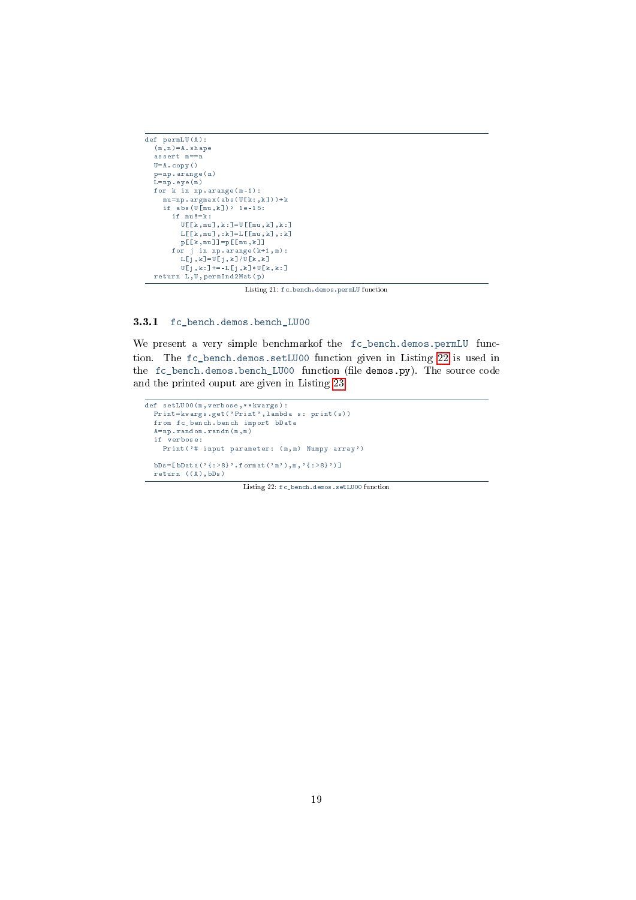```
def permLU(A):
  (m, n) = A. shape
  \frac{1}{\text{assert}} m==n
  U = A \cdot \text{copy}()p = np \cdot \text{area}(n)L = np. eye (m)
  for k in np.arange(m-1) :
       mu = np . argmax (abs (U[k:, k]) ) + kif \; abs \; (U[mu, k]) > 1e-15:
         if mu !=k :
             \mathtt{U}~[\; [\; k ~,~\mathtt{m}{u}~]~,~k : ] = \mathtt{U}~[\; [\; \mathtt{m}{u}~,k ~]~,~k : ]L [[k, mu], :k] = L [[mu, k], :k]
            p [[k, mu]]=p [[mu, k]]
          for j in np arange (k+1, m):
             L [j, k ] = \overline{U}[j, k ]/\overline{U} [k, k ]
             U[j, k : ] += - L[j, k] * U[k, k : ]return L, U, permInd2Mat(p)
```
Listing 21: fc\_bench.demos.permLU function

<span id="page-18-0"></span>3.3.1 fc\_bench.demos.bench\_LU00

We present a very simple benchmarkof the fc\_bench.demos.permLU function. The fc\_bench.demos.setLU00 function given in Listing [22](#page-18-2) is used in the fc\_bench.demos.bench\_LU00 function (file demos.py). The source code and the printed ouput are given in Listing [23.](#page-19-1)

```
def setLU00 (m, verbose, ** kwargs) :
  Print = kwargs .get ('Print', lambda s: print (s))
  from fc_bench . bench import bData
  \mathtt{A} \texttt{=} \mathtt{np} . \mathtt{r} and<br>om . \mathtt{r} and<br>n (\mathtt{m} \, , \, \mathtt{m})if verbose :
     Print ('# input parameter: (m, m) Numpy array')
  bDs = [bData('{:>8}'.format('m'),m,'{:>8}')]
  return ((A), bDs)
```
Listing 22: fc\_bench.demos.setLU00 function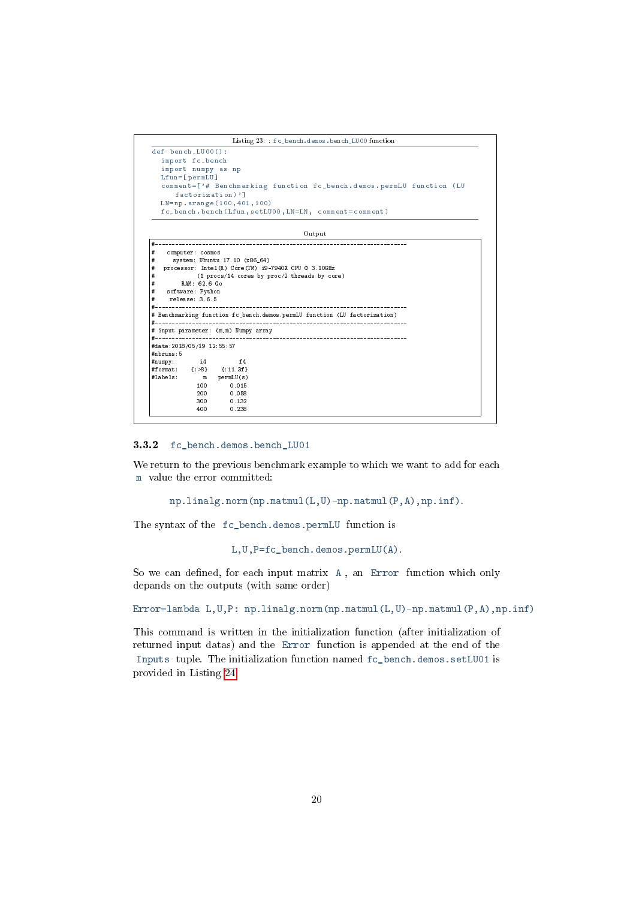Listing 23: : fc\_bench.demos.bench\_LU00 function

```
def bench_LU00 () :
   import fc_bench
   import numpy as np
Lfun =[ permLU ]
   comment =[ '# Benchmarking function fc_bench . demos . permLU function ( LU
       factorization ) ']
   LN = np . arange (100 ,401 ,100)
   \verb|fc_bench| bench ( <code>Lfun</code> , <code>setLU00</code> , <code>LN=LN</code> , <code> comment = comment</code> )
```
Output

| #                          | computer: cosmos |                                       |                                                                           |
|----------------------------|------------------|---------------------------------------|---------------------------------------------------------------------------|
| #                          |                  | system: Ubuntu 17.10 (x86_64)         |                                                                           |
| #                          |                  |                                       | processor: Intel (R) Core (TM) i9-7940X CPU @ 3.10GHz                     |
| #                          |                  |                                       | (1 procs/14 cores by proc/2 threads by core)                              |
| #                          | RAM: 62.6 Go     |                                       |                                                                           |
| #                          | software: Python |                                       |                                                                           |
| #                          | release: 3.6.5   |                                       |                                                                           |
|                            |                  |                                       |                                                                           |
|                            |                  |                                       | # Benchmarking function fc_bench.demos.permLU function (LU factorization) |
|                            |                  |                                       |                                                                           |
|                            |                  | # input parameter: (m, m) Numpy array |                                                                           |
|                            |                  |                                       |                                                                           |
| #date: 2018/05/19 12:55:57 |                  |                                       |                                                                           |
| #nbruns:5                  |                  |                                       |                                                                           |
|                            |                  | $# \text{numpy}:$ i4 f4               |                                                                           |
|                            |                  | #format: {:>8} {:11.3f}               |                                                                           |
|                            |                  | #labels: m permLU(s)                  |                                                                           |
|                            | 1.00             | 0.015                                 |                                                                           |
|                            |                  | 200 0.058                             |                                                                           |
|                            | 300              | 0.132                                 |                                                                           |
|                            | 400              | 0.238                                 |                                                                           |
|                            |                  |                                       |                                                                           |

<span id="page-19-0"></span>3.3.2 fc\_bench.demos.bench\_LU01

We return to the previous benchmark example to which we want to add for each m value the error committed:

```
np.linalg.norm(np.matmul(L,U)-np.matmul(P,A),np.inf).
```
The syntax of the fc\_bench.demos.permLU function is

L,U,P=fc\_bench.demos.permLU(A).

So we can defined, for each input matrix A, an Error function which only depands on the outputs (with same order)

Error=lambda L,U,P: np.linalg.norm(np.matmul(L,U)-np.matmul(P,A),np.inf)

This command is written in the initialization function (after initialization of returned input datas) and the Error function is appended at the end of the Inputs tuple. The initialization function named fc\_bench.demos.setLU01 is provided in Listing [24.](#page-20-1)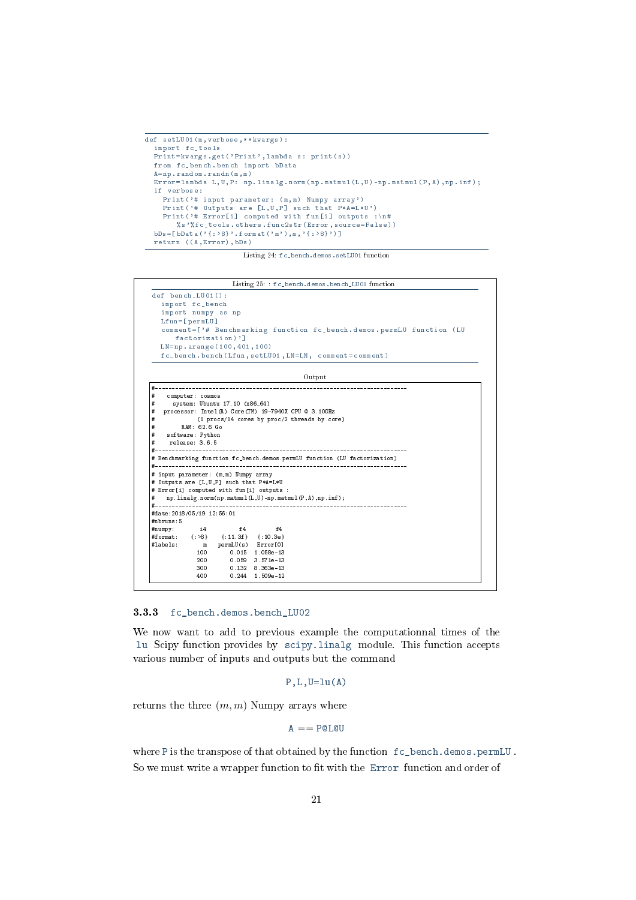```
def setLU01 (m, verbose, ** kwargs) :
  import fc_tools
  Print = kwargs . get ( ' Print ' , lambda s : print ( s ) )
  from fc_bench . bench import bData
  A = np. random. randn (m, m)Error = lambda L, U, P: np. linalg.norm (np.matmul (L, U) -np.matmul (P, A),np.inf);
  if verbose :
     Print ('# input parameter: (m, m) Numpy array')
     Print ('# Outputs are [L, U, P] such that P*A=L*U')
    Print ( '# Error [i] computed with fun [i] outputs :\n#
        % s '% fc_tools . others . func2str ( Error , source = False ) )
  bDs = [ bData(' {\{ : >8 \} ], format('m'),m,' {\{ : >8 \} }) ]return ((A, Error), bDs)
```
Listing 24: fc\_bench.demos.setLU01 function



<span id="page-20-0"></span>3.3.3 fc bench.demos.bench LU02

1.509e-12

We now want to add to previous example the computationnal times of the lu Scipy function provides by scipy.linalg module. This function accepts various number of inputs and outputs but the command

```
P, L, U=lu(A)
```
returns the three  $(m, m)$  Numpy arrays where

 $A =$  POLOU

where P is the transpose of that obtained by the function fc\_bench.demos.permLU . So we must write a wrapper function to fit with the Error function and order of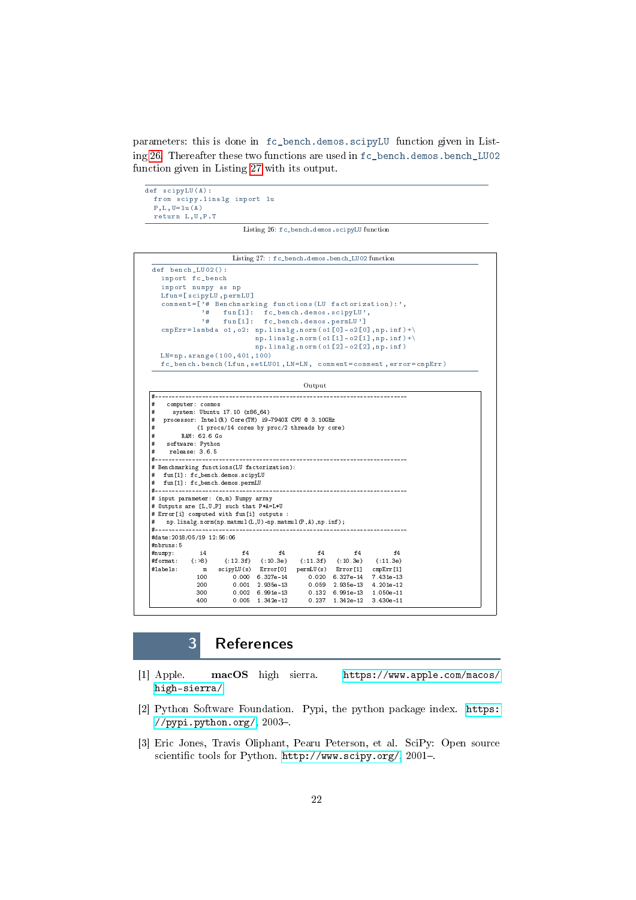<span id="page-21-3"></span>parameters: this is done in fc\_bench.demos.scipyLU function given in Listing [26.](#page-21-3) Thereafter these two functions are used in fc\_bench.demos.bench\_LU02 function given in Listing [27](#page-21-4) with its output.

```
def scipyLU(A) :
  from scipy . linalg import lu
  P, L, U = lu (A)return L ,U , P . T
```
Listing 26: fc\_bench.demos.scipyLU function

<span id="page-21-4"></span>

|                                                                                                                      |                    |                                                                 |                                              |                                                      | Listing 27: : fc_bench.demos.bench_LU02 function |                                                                  |  |
|----------------------------------------------------------------------------------------------------------------------|--------------------|-----------------------------------------------------------------|----------------------------------------------|------------------------------------------------------|--------------------------------------------------|------------------------------------------------------------------|--|
| def bench_LU02():                                                                                                    |                    |                                                                 |                                              |                                                      |                                                  |                                                                  |  |
|                                                                                                                      | import fc_bench    |                                                                 |                                              |                                                      |                                                  |                                                                  |  |
|                                                                                                                      | import numpy as np |                                                                 |                                              |                                                      |                                                  |                                                                  |  |
|                                                                                                                      |                    | Lfun=[scipyLU, permLU]                                          |                                              |                                                      |                                                  |                                                                  |  |
|                                                                                                                      |                    | comment=['# Benchmarking functions (LU factorization):',        |                                              |                                                      |                                                  |                                                                  |  |
|                                                                                                                      | ,#                 |                                                                 |                                              | fun [1]: fc_bench.demos.scipyLU',                    |                                                  |                                                                  |  |
|                                                                                                                      | $+$                | $fun$ $[1]$ :                                                   |                                              | fc_bench.demos.permLU']                              |                                                  |                                                                  |  |
|                                                                                                                      |                    |                                                                 |                                              |                                                      |                                                  | cmpErr=lambda o1, o2: np. linalg.norm(o1[0]-o2[0],np.inf)+\      |  |
|                                                                                                                      |                    |                                                                 |                                              | $np$ . linalg. $norm( o1 [2] - o2 [2]$ , $np$ . inf) |                                                  | $np$ . linalg. norm $(ol [1] - o2[1]$ , np. inf) +               |  |
|                                                                                                                      |                    |                                                                 |                                              |                                                      |                                                  |                                                                  |  |
|                                                                                                                      |                    | LN=np.arange(100,401,100)                                       |                                              |                                                      |                                                  | fc_bench.bench(Lfun,setLU01,LN=LN, comment=comment,error=cmpErr) |  |
|                                                                                                                      |                    |                                                                 |                                              |                                                      |                                                  |                                                                  |  |
|                                                                                                                      |                    |                                                                 |                                              |                                                      |                                                  |                                                                  |  |
|                                                                                                                      |                    |                                                                 |                                              | Output                                               |                                                  |                                                                  |  |
| #                                                                                                                    |                    |                                                                 |                                              |                                                      |                                                  |                                                                  |  |
| #                                                                                                                    | computer: cosmos   |                                                                 |                                              |                                                      |                                                  |                                                                  |  |
| #                                                                                                                    |                    | system: Ubuntu 17.10 (x86_64)                                   |                                              |                                                      |                                                  |                                                                  |  |
| #                                                                                                                    |                    | processor: Intel (R) Core (TM) i9-7940X CPU @ 3.10GHz           |                                              |                                                      |                                                  |                                                                  |  |
| #                                                                                                                    |                    | (1 procs/14 cores by proc/2 threads by core)                    |                                              |                                                      |                                                  |                                                                  |  |
| #                                                                                                                    | RAM: 62.6 Go       |                                                                 |                                              |                                                      |                                                  |                                                                  |  |
| #                                                                                                                    | software: Python   |                                                                 |                                              |                                                      |                                                  |                                                                  |  |
| #                                                                                                                    | relcase: 3.6.5     |                                                                 |                                              |                                                      |                                                  |                                                                  |  |
|                                                                                                                      |                    |                                                                 |                                              |                                                      |                                                  |                                                                  |  |
|                                                                                                                      |                    |                                                                 | # Benchmarking functions (LU factorization): |                                                      |                                                  |                                                                  |  |
|                                                                                                                      |                    |                                                                 |                                              |                                                      |                                                  |                                                                  |  |
|                                                                                                                      |                    |                                                                 |                                              |                                                      |                                                  |                                                                  |  |
|                                                                                                                      |                    | fun[1]: fc_bench.demos.scipyLU<br>fun[1]: fc_bench.demos.permLU |                                              |                                                      |                                                  |                                                                  |  |
|                                                                                                                      | ----------------   |                                                                 |                                              |                                                      |                                                  |                                                                  |  |
|                                                                                                                      |                    | # input parameter: (m, m) Numpy array                           |                                              |                                                      |                                                  |                                                                  |  |
|                                                                                                                      |                    | # Outputs are [L, U, P] such that P*A=L*U                       |                                              |                                                      |                                                  |                                                                  |  |
|                                                                                                                      |                    | # Error[i] computed with fun[i] outputs :                       |                                              |                                                      |                                                  |                                                                  |  |
|                                                                                                                      |                    | np.linalg.norm(np.matmul(L,U)-np.matmul(P,A),np.inf);           |                                              |                                                      |                                                  |                                                                  |  |
|                                                                                                                      |                    |                                                                 |                                              |                                                      |                                                  |                                                                  |  |
|                                                                                                                      |                    |                                                                 |                                              |                                                      |                                                  |                                                                  |  |
|                                                                                                                      |                    |                                                                 |                                              |                                                      |                                                  |                                                                  |  |
|                                                                                                                      | i4                 | f4                                                              | f4                                           | f4                                                   | f4                                               | f4                                                               |  |
|                                                                                                                      | ${ >8}$            | $\{ .12.3f \}$                                                  |                                              | $\{:10.3e\}$ $\{:11.3f\}$                            | ${10.3e}$                                        | $\{ .11.3e \}$                                                   |  |
| #<br>#<br>#<br>#----------------------<br>#date: 2018/05/19 12:56:06<br>#nbruns:5<br>#numpy:<br>#format:<br>#labels: | m<br>100           |                                                                 | scipyLU(s) Error[0]                          |                                                      | permLU(s) Error[1]                               | cmpErr[1]                                                        |  |
|                                                                                                                      | 200                |                                                                 | 0.000 6.327e-14<br>$0.001$ 2.935e-13         |                                                      | 0.020 6.327e-14<br>$0.059$ 2.935e-13             | 7.431e-13<br>$4.201e-12$                                         |  |
|                                                                                                                      | 300                |                                                                 | $0.002 \quad 6.991e-13$                      | 0.132                                                | 6.991e-13                                        | $1.050e-11$                                                      |  |

## 3 References

- <span id="page-21-1"></span>[1] Apple. macOS high sierra. [https://www.apple.com/macos/](https://www.apple.com/macos/high-sierra/) [high-sierra/.](https://www.apple.com/macos/high-sierra/)
- <span id="page-21-2"></span>[2] Python Software Foundation. Pypi, the python package index. [https:](https://pypi.python.org/)  $//pypi.python.org/, 2003-.$  $//pypi.python.org/, 2003-.$
- <span id="page-21-0"></span>[3] Eric Jones, Travis Oliphant, Pearu Peterson, et al. SciPy: Open source scientific tools for Python. [http://www.scipy.org/,](http://www.scipy.org/) 2001-.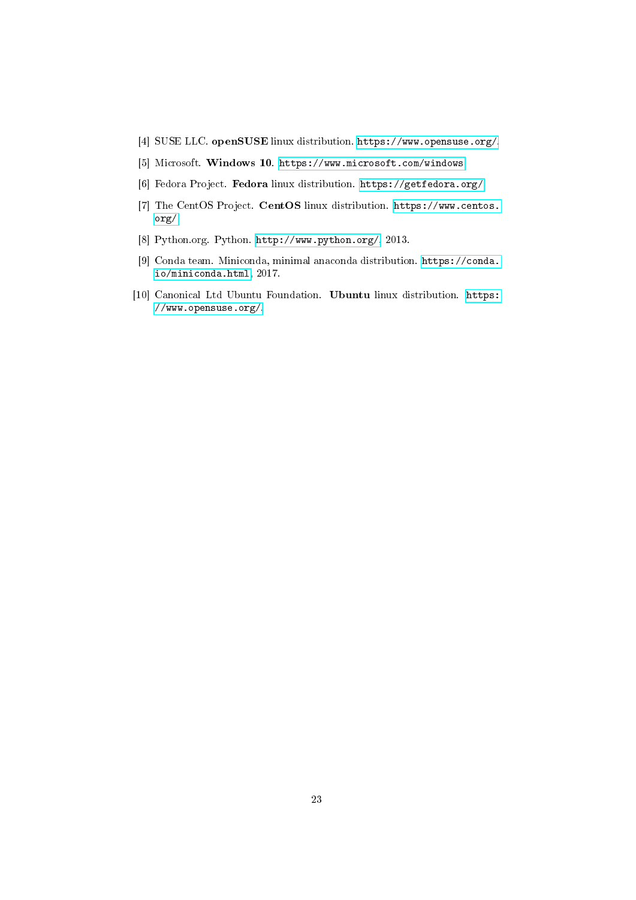- <span id="page-22-4"></span>[4] SUSE LLC. openSUSE linux distribution. [https://www.opensuse.org/.](https://www.opensuse.org/)
- <span id="page-22-6"></span>[5] Microsoft. Windows 10. [https://www.microsoft.com/windows.](https://www.microsoft.com/windows)
- <span id="page-22-2"></span>[6] Fedora Project. Fedora linux distribution. [https://getfedora.org/.](https://getfedora.org/)
- <span id="page-22-0"></span>[7] The CentOS Project. CentOS linux distribution. [https://www.centos.](https://www.centos.org/) [org/.](https://www.centos.org/)
- <span id="page-22-1"></span>[8] Python.org. Python. [http://www.python.org/,](http://www.python.org/) 2013.
- <span id="page-22-3"></span>[9] Conda team. Miniconda, minimal anaconda distribution. [https://conda.](https://conda.io/miniconda.html) [io/miniconda.html,](https://conda.io/miniconda.html) 2017.
- <span id="page-22-5"></span>[10] Canonical Ltd Ubuntu Foundation. Ubuntu linux distribution. [https:](https://www.opensuse.org/) [//www.opensuse.org/.](https://www.opensuse.org/)